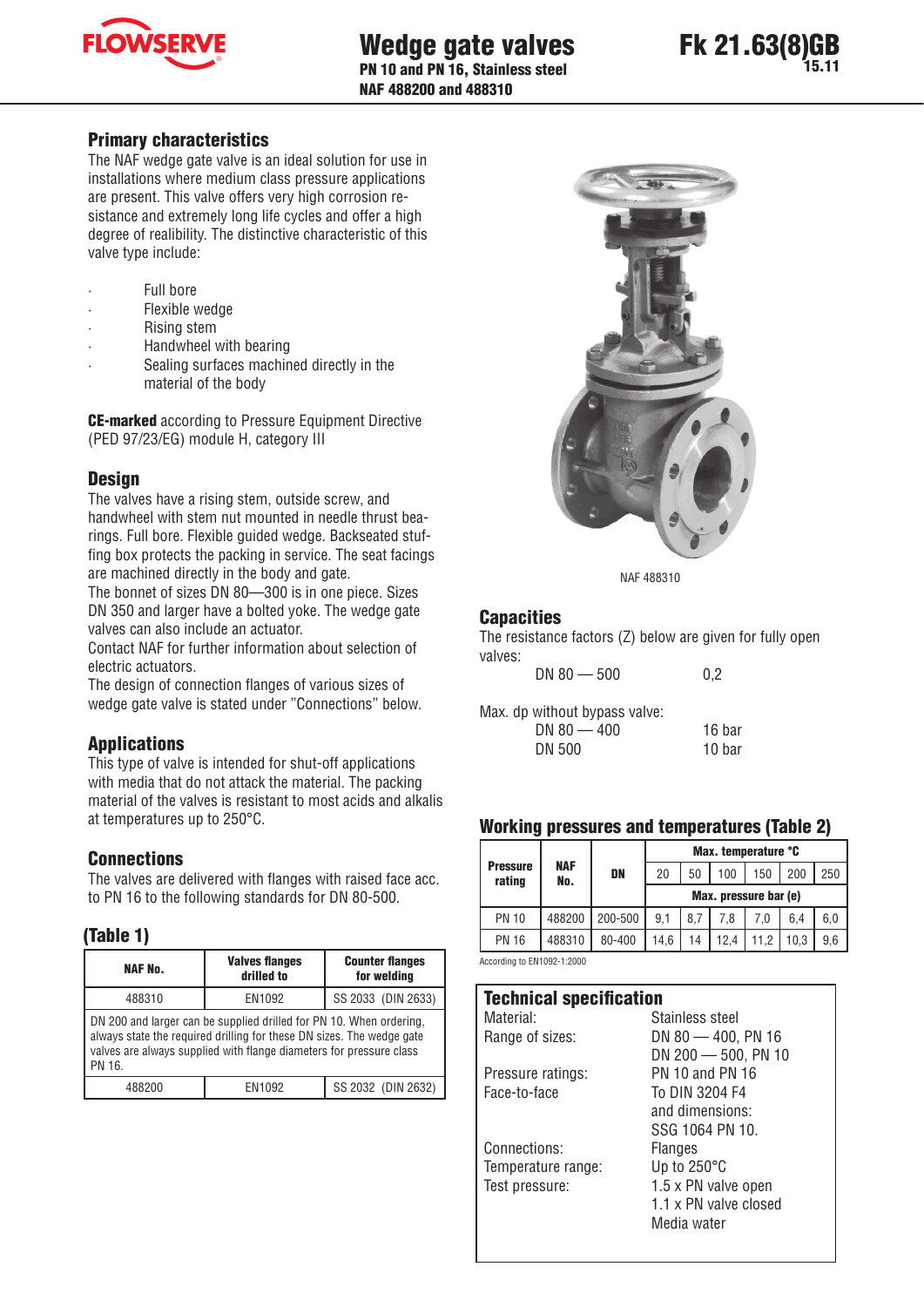



#### Primary characteristics

The NAF wedge gate valve is an ideal solution for use in installations where medium class pressure applications are present. This valve offers very high corrosion resistance and extremely long life cycles and offer a high degree of realibility. The distinctive characteristic of this valve type include:

- Full bore
- Flexible wedge
- Rising stem
- Handwheel with bearing
- Sealing surfaces machined directly in the material of the body

CE-marked according to Pressure Equipment Directive (PED 97/23/EG) module H, category III

#### **Design**

The valves have a rising stem, outside screw, and handwheel with stem nut mounted in needle thrust bearings. Full bore. Flexible guided wedge. Backseated stuffing box protects the packing in service. The seat facings are machined directly in the body and gate.

The bonnet of sizes DN 80—300 is in one piece. Sizes DN 350 and larger have a bolted yoke. The wedge gate valves can also include an actuator.

Contact NAF for further information about selection of electric actuators.

The design of connection flanges of various sizes of wedge gate valve is stated under "Connections" below.

## **Applications**

This type of valve is intended for shut-off applications with media that do not attack the material. The packing material of the valves is resistant to most acids and alkalis at temperatures up to 250°C.

## **Connections**

The valves are delivered with flanges with raised face acc. to PN 16 to the following standards for DN 80-500.

#### (Table 1)

| <b>NAF No.</b>                                                                                                                                                                                                                | <b>Valves flanges</b><br>drilled to | <b>Counter flanges</b><br>for welding |  |  |  |  |  |
|-------------------------------------------------------------------------------------------------------------------------------------------------------------------------------------------------------------------------------|-------------------------------------|---------------------------------------|--|--|--|--|--|
| SS 2033 (DIN 2633)<br>EN1092<br>488310                                                                                                                                                                                        |                                     |                                       |  |  |  |  |  |
| DN 200 and larger can be supplied drilled for PN 10. When ordering,<br>always state the required drilling for these DN sizes. The wedge gate<br>valves are always supplied with flange diameters for pressure class<br>PN 16. |                                     |                                       |  |  |  |  |  |
| 488200                                                                                                                                                                                                                        | EN1092                              | SS 2032 (DIN 2632)                    |  |  |  |  |  |



NAF 488310

## **Capacities**

The resistance factors (Z) below are given for fully open valves:

 $DN 80 - 500$  0.2 Max. dp without bypass valve:

DN 80 - 400 16 bar DN 500 10 bar

#### Working pressures and temperatures (Table 2)

| -90                       |                   |         |                       |     |      |      |      |     |
|---------------------------|-------------------|---------|-----------------------|-----|------|------|------|-----|
|                           | <b>NAF</b><br>No. |         | Max. temperature °C   |     |      |      |      |     |
| <b>Pressure</b><br>rating |                   | DN      | 20                    | 50  | 100  | 150  | 200  | 250 |
|                           |                   |         | Max. pressure bar (e) |     |      |      |      |     |
| <b>PN 10</b>              | 488200            | 200-500 | 9.1                   | 8.7 | 7.8  | 7.0  | 6,4  | 6,0 |
| <b>PN 16</b>              | 488310            | 80-400  | 14.6                  | 14  | 12.4 | 11.2 | 10.3 | 9,6 |
|                           |                   |         |                       |     |      |      |      |     |

According to EN1092-1:2000

| <b>Technical specification</b> |                        |  |  |
|--------------------------------|------------------------|--|--|
| Material:                      | Stainless steel        |  |  |
| Range of sizes:                | DN 80 $-$ 400, PN 16   |  |  |
|                                | $DN 200 - 500$ , PN 10 |  |  |
| Pressure ratings:              | <b>PN 10 and PN 16</b> |  |  |
| Face-to-face                   | To DIN 3204 F4         |  |  |
|                                | and dimensions:        |  |  |
|                                | SSG 1064 PN 10.        |  |  |
| Connections:                   | Flanges                |  |  |
| Temperature range:             | Up to $250^{\circ}$ C  |  |  |
| Test pressure:                 | 1.5 x PN valve open    |  |  |
|                                | 1.1 x PN valve closed  |  |  |
|                                | Media water            |  |  |
|                                |                        |  |  |